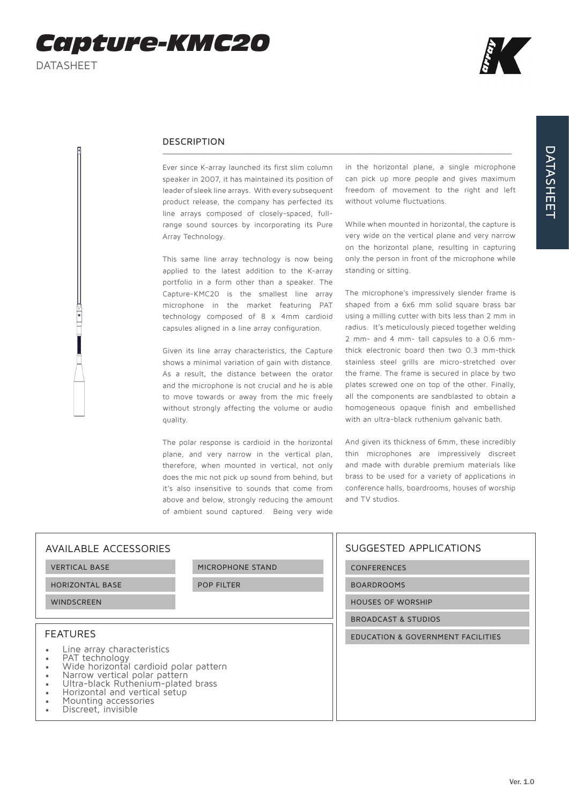$\frac{1}{\sqrt{2}}$ 



## DESCRIPTION

Ever since K-array launched its first slim column speaker in 2007, it has maintained its position of leader of sleek line arrays. With every subsequent product release, the company has perfected its line arrays composed of closely-spaced, fullrange sound sources by incorporating its Pure Array Technology.

This same line array technology is now being applied to the latest addition to the K-array portfolio in a form other than a speaker. The Capture-KMC20 is the smallest line array microphone in the market featuring PAT technology composed of 8 x 4mm cardioid capsules aligned in a line array configuration.

Given its line array characteristics, the Capture shows a minimal variation of gain with distance. As a result, the distance between the orator and the microphone is not crucial and he is able to move towards or away from the mic freely without strongly affecting the volume or audio quality.

The polar response is cardioid in the horizontal plane, and very narrow in the vertical plan, therefore, when mounted in vertical, not only does the mic not pick up sound from behind, but it's also insensitive to sounds that come from above and below, strongly reducing the amount of ambient sound captured. Being very wide

in the horizontal plane, a single microphone can pick up more people and gives maximum freedom of movement to the right and left without volume fluctuations.

While when mounted in horizontal, the capture is very wide on the vertical plane and very narrow on the horizontal plane, resulting in capturing only the person in front of the microphone while standing or sitting.

The microphone's impressively slender frame is shaped from a 6x6 mm solid square brass bar using a milling cutter with bits less than 2 mm in radius. It's meticulously pieced together welding 2 mm- and 4 mm- tall capsules to a 0.6 mmthick electronic board then two 0.3 mm-thick stainless steel grills are micro-stretched over the frame. The frame is secured in place by two plates screwed one on top of the other. Finally, all the components are sandblasted to obtain a homogeneous opaque finish and embellished with an ultra-black ruthenium galvanic bath.

And given its thickness of 6mm, these incredibly thin microphones are impressively discreet and made with durable premium materials like brass to be used for a variety of applications in conference halls, boardrooms, houses of worship and TV studios.

| AVAILABLE ACCESSORIES                                                                                                                                                                                                                                                   |                   | SUGGESTED APPLICATIONS            |
|-------------------------------------------------------------------------------------------------------------------------------------------------------------------------------------------------------------------------------------------------------------------------|-------------------|-----------------------------------|
| <b>VERTICAL BASE</b>                                                                                                                                                                                                                                                    | MICROPHONE STAND  | <b>CONFERENCES</b>                |
| <b>HORIZONTAL BASE</b>                                                                                                                                                                                                                                                  | <b>POP FILTER</b> | <b>BOARDROOMS</b>                 |
| <b>WINDSCREEN</b>                                                                                                                                                                                                                                                       |                   | <b>HOUSES OF WORSHIP</b>          |
|                                                                                                                                                                                                                                                                         |                   | <b>BROADCAST &amp; STUDIOS</b>    |
| <b>FEATURES</b>                                                                                                                                                                                                                                                         |                   | EDUCATION & GOVERNMENT FACILITIES |
| Line array characteristics<br>PAT technology<br>Wide horizontal cardioid polar pattern<br>Narrow vertical polar pattern<br>Ultra-black Ruthenium-plated brass<br>Horizontal and vertical setup<br>$\bullet$<br>$\bullet$<br>Mounting accessories<br>Discreet, invisible |                   |                                   |